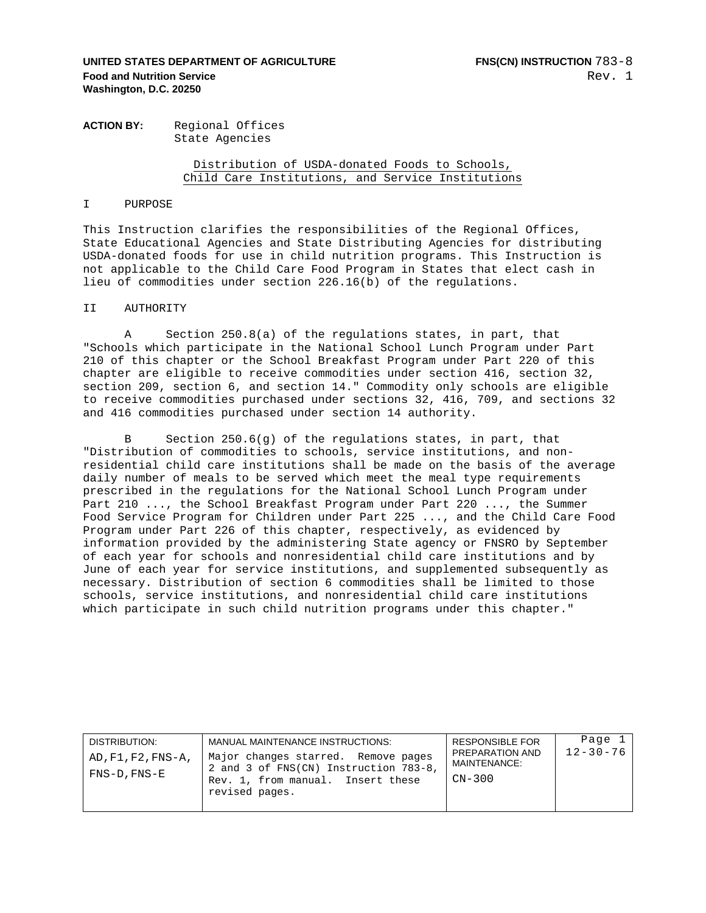# **UNITED STATES DEPARTMENT OF AGRICULTURE FINS(CN) INSTRUCTION**  $783-8$ **Food and Nutrition Service Washington, D.C. 20250**

## **ACTION BY:** Regional Offices State Agencies

# Distribution of USDA-donated Foods to Schools, Child Care Institutions, and Service Institutions

#### I PURPOSE

This Instruction clarifies the responsibilities of the Regional Offices, State Educational Agencies and State Distributing Agencies for distributing USDA-donated foods for use in child nutrition programs. This Instruction is not applicable to the Child Care Food Program in States that elect cash in lieu of commodities under section 226.16(b) of the regulations.

### II AUTHORITY

A Section 250.8(a) of the regulations states, in part, that "Schools which participate in the National School Lunch Program under Part 210 of this chapter or the School Breakfast Program under Part 220 of this chapter are eligible to receive commodities under section 416, section 32, section 209, section 6, and section 14." Commodity only schools are eligible to receive commodities purchased under sections 32, 416, 709, and sections 32 and 416 commodities purchased under section 14 authority.

B Section 250.6(g) of the regulations states, in part, that "Distribution of commodities to schools, service institutions, and nonresidential child care institutions shall be made on the basis of the average daily number of meals to be served which meet the meal type requirements prescribed in the regulations for the National School Lunch Program under Part 210 ..., the School Breakfast Program under Part 220 ..., the Summer Food Service Program for Children under Part 225 ..., and the Child Care Food Program under Part 226 of this chapter, respectively, as evidenced by information provided by the administering State agency or FNSRO by September of each year for schools and nonresidential child care institutions and by June of each year for service institutions, and supplemented subsequently as necessary. Distribution of section 6 commodities shall be limited to those schools, service institutions, and nonresidential child care institutions which participate in such child nutrition programs under this chapter."

| DISTRIBUTION:<br>AD, F1, F2, FNS-A,<br>$FNS-D$ , $FNS-E$ | MANUAL MAINTENANCE INSTRUCTIONS:<br>Major changes starred. Remove pages<br>2 and 3 of FNS(CN) Instruction 783-8,<br>Rev. 1, from manual. Insert these | RESPONSIBLE FOR<br>PREPARATION AND<br>MAINTENANCE:<br>$CN-300$ | Page 1<br>$12 - 30 - 76$ |
|----------------------------------------------------------|-------------------------------------------------------------------------------------------------------------------------------------------------------|----------------------------------------------------------------|--------------------------|
|                                                          | revised pages.                                                                                                                                        |                                                                |                          |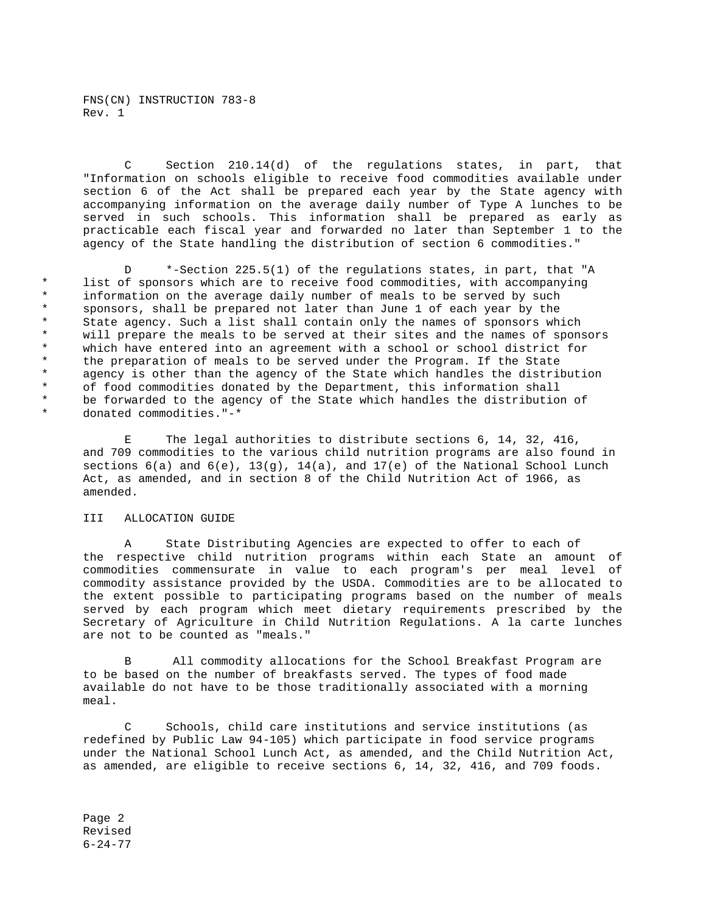FNS(CN) INSTRUCTION 783-8 Rev. 1

C Section 210.14(d) of the regulations states, in part, that "Information on schools eligible to receive food commodities available under section 6 of the Act shall be prepared each year by the State agency with accompanying information on the average daily number of Type A lunches to be served in such schools. This information shall be prepared as early as practicable each fiscal year and forwarded no later than September 1 to the agency of the State handling the distribution of section 6 commodities."

 D \*-Section 225.5(1) of the regulations states, in part, that "A \* list of sponsors which are to receive food commodities, with accompanying information on the average daily number of meals to be served by such sponsors, shall be prepared not later than June 1 of each year by the \* State agency. Such a list shall contain only the names of sponsors which \* will prepare the meals to be served at their sites and the names of sponsors \* which have entered into an agreement with a school or school district for<br>\* The preparation of meals to be served under the Program. If the State \* the preparation of meals to be served under the Program. If the State<br>\* agency is other than the agency of the State which handles the distril \* agency is other than the agency of the State which handles the distribution<br>A cof food commodition donated by the Department, this information shall \* of food commodities donated by the Department, this information shall<br>\* be forwarded to the agency of the State which bandles the distribution be forwarded to the agency of the State which handles the distribution of \* donated commodities."-\*

 E The legal authorities to distribute sections 6, 14, 32, 416, and 709 commodities to the various child nutrition programs are also found in sections  $6(a)$  and  $6(e)$ ,  $13(q)$ ,  $14(a)$ , and  $17(e)$  of the National School Lunch Act, as amended, and in section 8 of the Child Nutrition Act of 1966, as amended.

## III ALLOCATION GUIDE

 A State Distributing Agencies are expected to offer to each of the respective child nutrition programs within each State an amount of commodities commensurate in value to each program's per meal level of commodity assistance provided by the USDA. Commodities are to be allocated to the extent possible to participating programs based on the number of meals served by each program which meet dietary requirements prescribed by the Secretary of Agriculture in Child Nutrition Regulations. A la carte lunches are not to be counted as "meals."

B All commodity allocations for the School Breakfast Program are to be based on the number of breakfasts served. The types of food made available do not have to be those traditionally associated with a morning meal.

Schools, child care institutions and service institutions (as redefined by Public Law 94-105) which participate in food service programs under the National School Lunch Act, as amended, and the Child Nutrition Act, as amended, are eligible to receive sections 6, 14, 32, 416, and 709 foods.

Page 2 Revised 6-24-77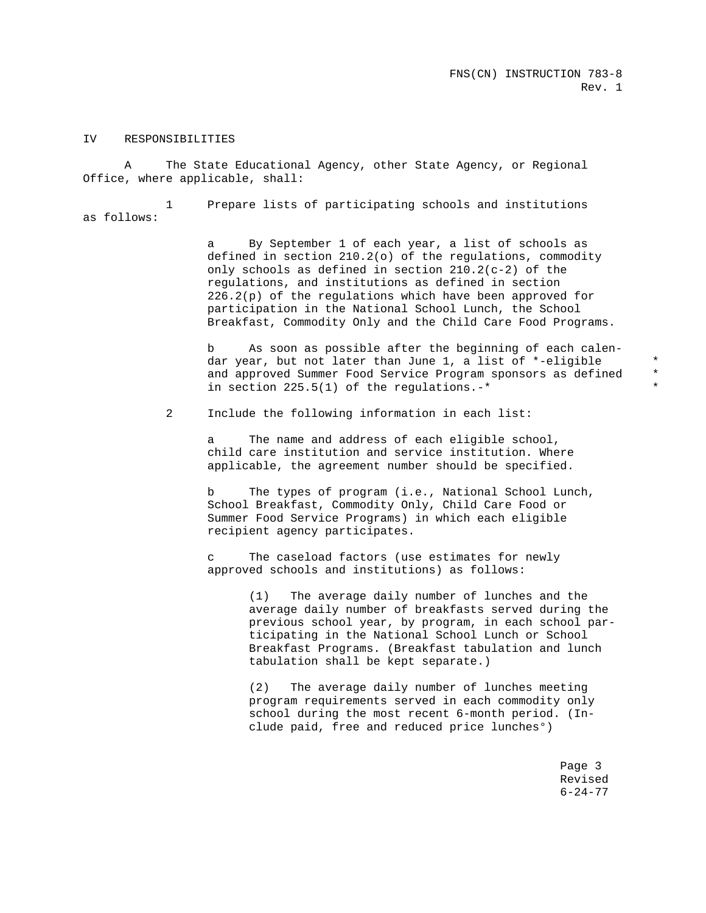### IV RESPONSIBILITIES

 A The State Educational Agency, other State Agency, or Regional Office, where applicable, shall:

 1 Prepare lists of participating schools and institutions as follows:

> a By September 1 of each year, a list of schools as defined in section 210.2(o) of the regulations, commodity only schools as defined in section 210.2(c-2) of the regulations, and institutions as defined in section 226.2(p) of the regulations which have been approved for participation in the National School Lunch, the School Breakfast, Commodity Only and the Child Care Food Programs.

 b As soon as possible after the beginning of each calen dar year, but not later than June 1, a list of \*-eligible \* \* and approved Summer Food Service Program sponsors as defined in section  $225.5(1)$  of the regulations.-\*

2 Include the following information in each list:

 a The name and address of each eligible school, child care institution and service institution. Where applicable, the agreement number should be specified.

 b The types of program (i.e., National School Lunch, School Breakfast, Commodity Only, Child Care Food or Summer Food Service Programs) in which each eligible recipient agency participates.

 c The caseload factors (use estimates for newly approved schools and institutions) as follows:

> (1) The average daily number of lunches and the average daily number of breakfasts served during the previous school year, by program, in each school par ticipating in the National School Lunch or School Breakfast Programs. (Breakfast tabulation and lunch tabulation shall be kept separate.)

 (2) The average daily number of lunches meeting program requirements served in each commodity only school during the most recent 6-month period. (In clude paid, free and reduced price lunches°)

> Page 3 Revised 6-24-77